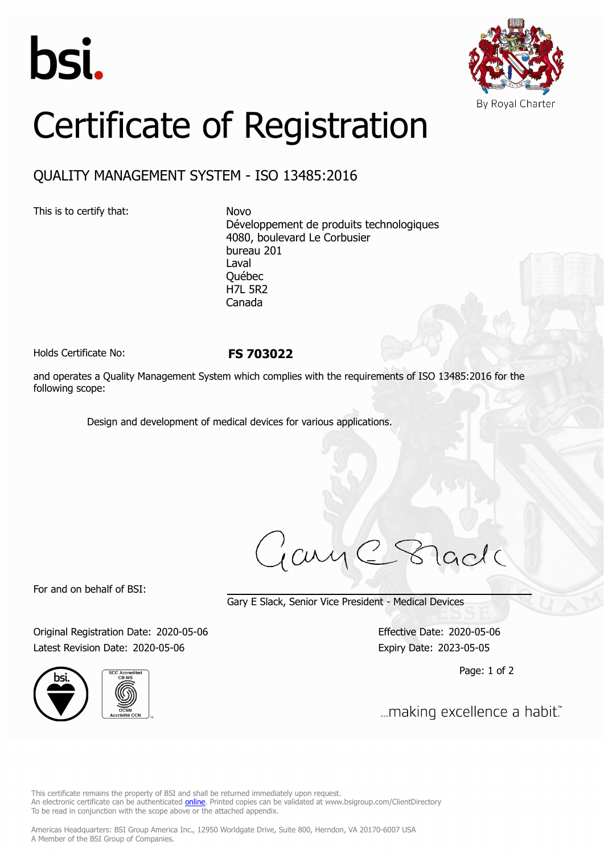



# Certificate of Registration

# QUALITY MANAGEMENT SYSTEM - ISO 13485:2016

This is to certify that: Novo

Développement de produits technologiques 4080, boulevard Le Corbusier bureau 201 Laval Québec H7L 5R2 Canada

Holds Certificate No: **FS 703022**

and operates a Quality Management System which complies with the requirements of ISO 13485:2016 for the following scope:

Design and development of medical devices for various applications.

iame8 lade

For and on behalf of BSI:

Gary E Slack, Senior Vice President - Medical Devices

Original Registration Date: 2020-05-06 Effective Date: 2020-05-06 Latest Revision Date: 2020-05-06 Expiry Date: 2023-05-05





Page: 1 of 2

... making excellence a habit."

This certificate remains the property of BSI and shall be returned immediately upon request. An electronic certificate can be authenticated *[online](https://pgplus.bsigroup.com/CertificateValidation/CertificateValidator.aspx?CertificateNumber=FS+703022&ReIssueDate=06%2f05%2f2020&Template=inc)*. Printed copies can be validated at www.bsigroup.com/ClientDirectory To be read in conjunction with the scope above or the attached appendix.

Americas Headquarters: BSI Group America Inc., 12950 Worldgate Drive, Suite 800, Herndon, VA 20170-6007 USA A Member of the BSI Group of Companies.